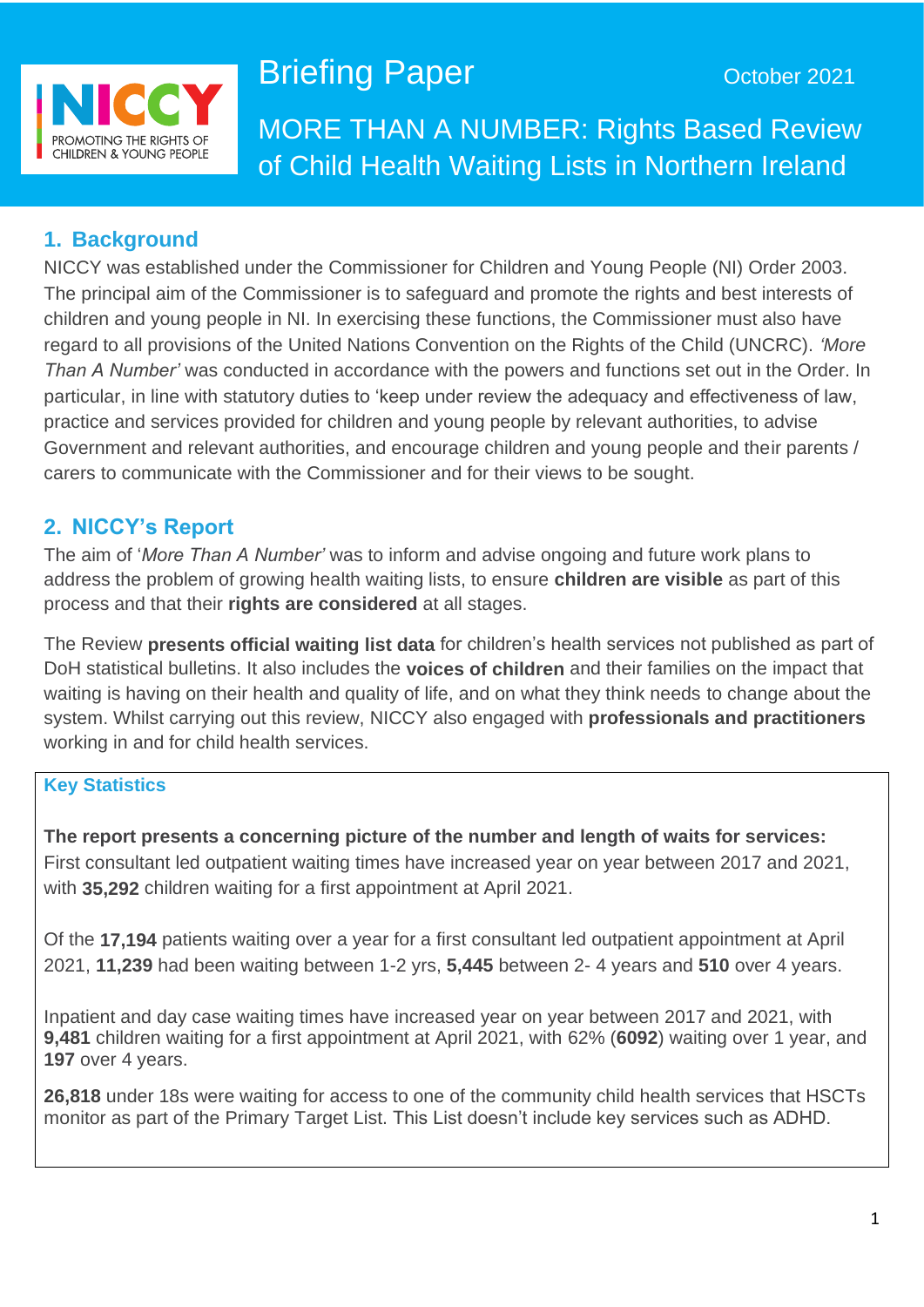

# **Briefing Paper Capacity CE** October 2021

MORE THAN A NUMBER: Rights Based Review of Child Health Waiting Lists in Northern Ireland

## **1. Background**

NICCY was established under the Commissioner for Children and Young People (NI) Order 2003. The principal aim of the Commissioner is to safeguard and promote the rights and best interests of children and young people in NI. In exercising these functions, the Commissioner must also have regard to all provisions of the United Nations Convention on the Rights of the Child (UNCRC). *'More Than A Number'* was conducted in accordance with the powers and functions set out in the Order. In particular, in line with statutory duties to 'keep under review the adequacy and effectiveness of law, practice and services provided for children and young people by relevant authorities, to advise Government and relevant authorities, and encourage children and young people and their parents / carers to communicate with the Commissioner and for their views to be sought.

## **2. NICCY's Report**

The aim of '*More Than A Number'* was to inform and advise ongoing and future work plans to address the problem of growing health waiting lists, to ensure **children are visible** as part of this process and that their **rights are considered** at all stages.

The Review **presents official waiting list data** for children's health services not published as part of DoH statistical bulletins. It also includes the **voices of children** and their families on the impact that waiting is having on their health and quality of life, and on what they think needs to change about the system. Whilst carrying out this review, NICCY also engaged with **professionals and practitioners** working in and for child health services.

## **Key Statistics**

**The report presents a concerning picture of the number and length of waits for services:** First consultant led outpatient waiting times have increased year on year between 2017 and 2021, with **35,292** children waiting for a first appointment at April 2021.

Of the **17,194** patients waiting over a year for a first consultant led outpatient appointment at April 2021, **11,239** had been waiting between 1-2 yrs, **5,445** between 2- 4 years and **510** over 4 years.

Inpatient and day case waiting times have increased year on year between 2017 and 2021, with **9,481** children waiting for a first appointment at April 2021, with 62% (**6092**) waiting over 1 year, and **197** over 4 years.

**26,818** under 18s were waiting for access to one of the community child health services that HSCTs monitor as part of the Primary Target List. This List doesn't include key services such as ADHD.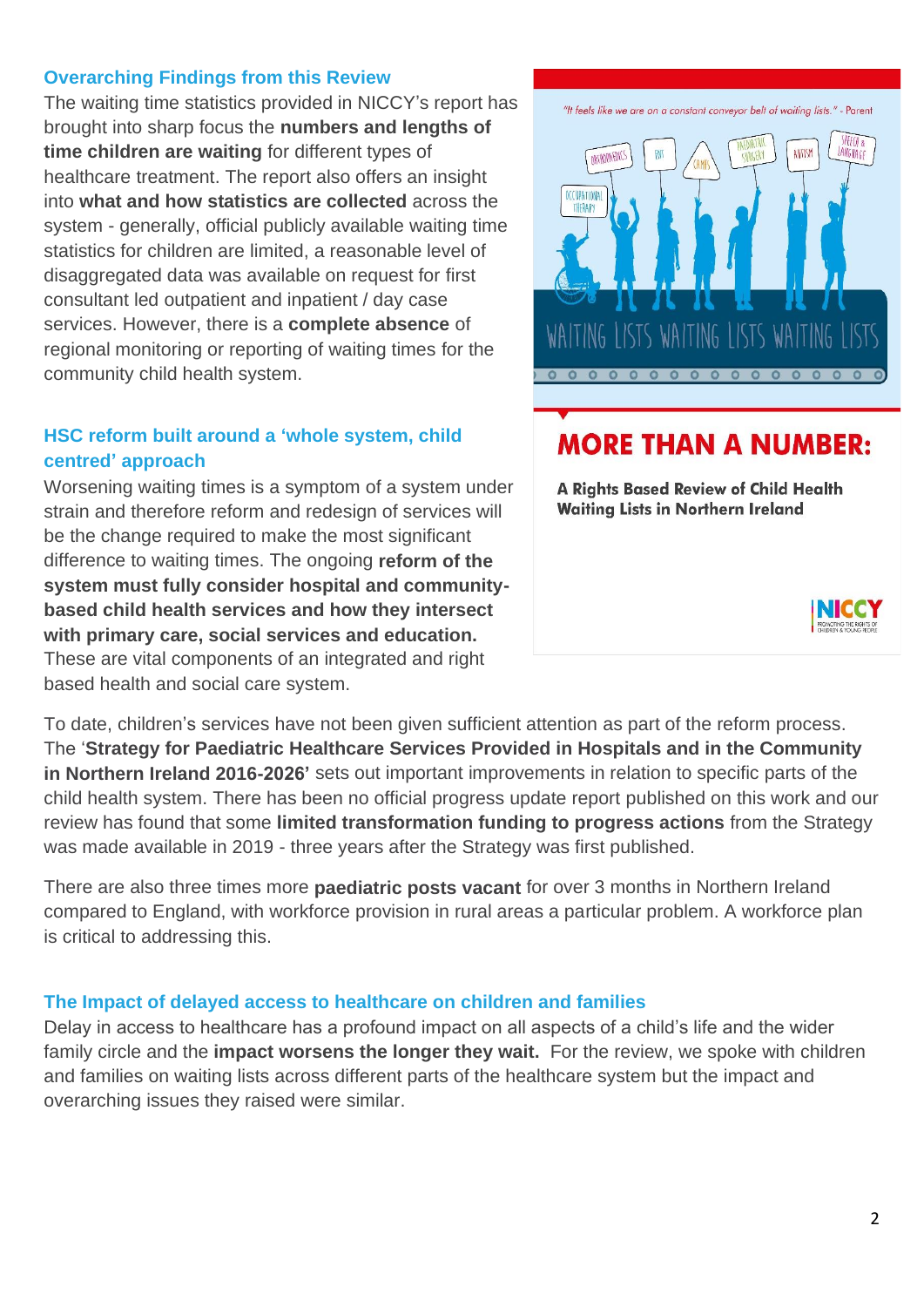#### **Overarching Findings from this Review**

The waiting time statistics provided in NICCY's report has brought into sharp focus the **numbers and lengths of time children are waiting** for different types of healthcare treatment. The report also offers an insight into **what and how statistics are collected** across the system - generally, official publicly available waiting time statistics for children are limited, a reasonable level of disaggregated data was available on request for first consultant led outpatient and inpatient / day case services. However, there is a **complete absence** of regional monitoring or reporting of waiting times for the community child health system.

#### **HSC reform built around a 'whole system, child centred' approach**

Worsening waiting times is a symptom of a system under strain and therefore reform and redesign of services will be the change required to make the most significant difference to waiting times. The ongoing **reform of the system must fully consider hospital and communitybased child health services and how they intersect with primary care, social services and education.** These are vital components of an integrated and right based health and social care system.



## **MORE THAN A NUMBER:**

A Rights Based Review of Child Health **Waiting Lists in Northern Ireland** 



To date, children's services have not been given sufficient attention as part of the reform process. The '**Strategy for Paediatric Healthcare Services Provided in Hospitals and in the Community in Northern Ireland 2016-2026'** sets out important improvements in relation to specific parts of the child health system. There has been no official progress update report published on this work and our review has found that some **limited transformation funding to progress actions** from the Strategy was made available in 2019 - three years after the Strategy was first published.

There are also three times more **paediatric posts vacant** for over 3 months in Northern Ireland compared to England, with workforce provision in rural areas a particular problem. A workforce plan is critical to addressing this.

#### **The Impact of delayed access to healthcare on children and families**

Delay in access to healthcare has a profound impact on all aspects of a child's life and the wider family circle and the **impact worsens the longer they wait.** For the review, we spoke with children and families on waiting lists across different parts of the healthcare system but the impact and overarching issues they raised were similar.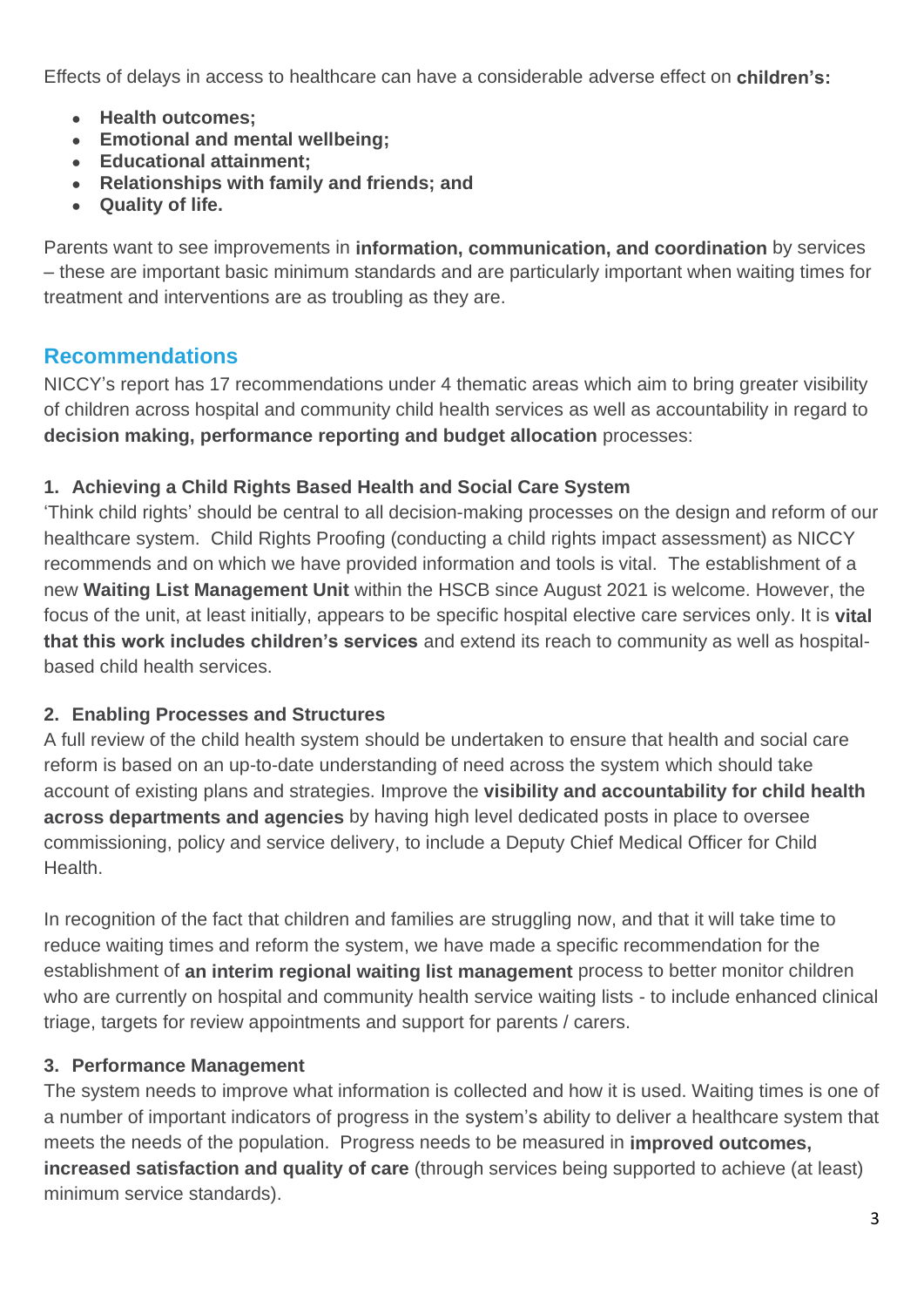Effects of delays in access to healthcare can have a considerable adverse effect on **children's:**

- **Health outcomes;**
- **Emotional and mental wellbeing;**
- **Educational attainment;**
- **Relationships with family and friends; and**
- **Quality of life.**

Parents want to see improvements in **information, communication, and coordination** by services – these are important basic minimum standards and are particularly important when waiting times for treatment and interventions are as troubling as they are.

## **Recommendations**

NICCY's report has 17 recommendations under 4 thematic areas which aim to bring greater visibility of children across hospital and community child health services as well as accountability in regard to **decision making, performance reporting and budget allocation** processes:

## **1. Achieving a Child Rights Based Health and Social Care System**

'Think child rights' should be central to all decision-making processes on the design and reform of our healthcare system. Child Rights Proofing (conducting a child rights impact assessment) as NICCY recommends and on which we have provided information and tools is vital. The establishment of a new **Waiting List Management Unit** within the HSCB since August 2021 is welcome. However, the focus of the unit, at least initially, appears to be specific hospital elective care services only. It is **vital that this work includes children's services** and extend its reach to community as well as hospitalbased child health services.

## **2. Enabling Processes and Structures**

A full review of the child health system should be undertaken to ensure that health and social care reform is based on an up-to-date understanding of need across the system which should take account of existing plans and strategies. Improve the **visibility and accountability for child health across departments and agencies** by having high level dedicated posts in place to oversee commissioning, policy and service delivery, to include a Deputy Chief Medical Officer for Child Health.

In recognition of the fact that children and families are struggling now, and that it will take time to reduce waiting times and reform the system, we have made a specific recommendation for the establishment of **an interim regional waiting list management** process to better monitor children who are currently on hospital and community health service waiting lists - to include enhanced clinical triage, targets for review appointments and support for parents / carers.

## **3. Performance Management**

The system needs to improve what information is collected and how it is used. Waiting times is one of a number of important indicators of progress in the system's ability to deliver a healthcare system that meets the needs of the population. Progress needs to be measured in **improved outcomes, increased satisfaction and quality of care** (through services being supported to achieve (at least) minimum service standards).